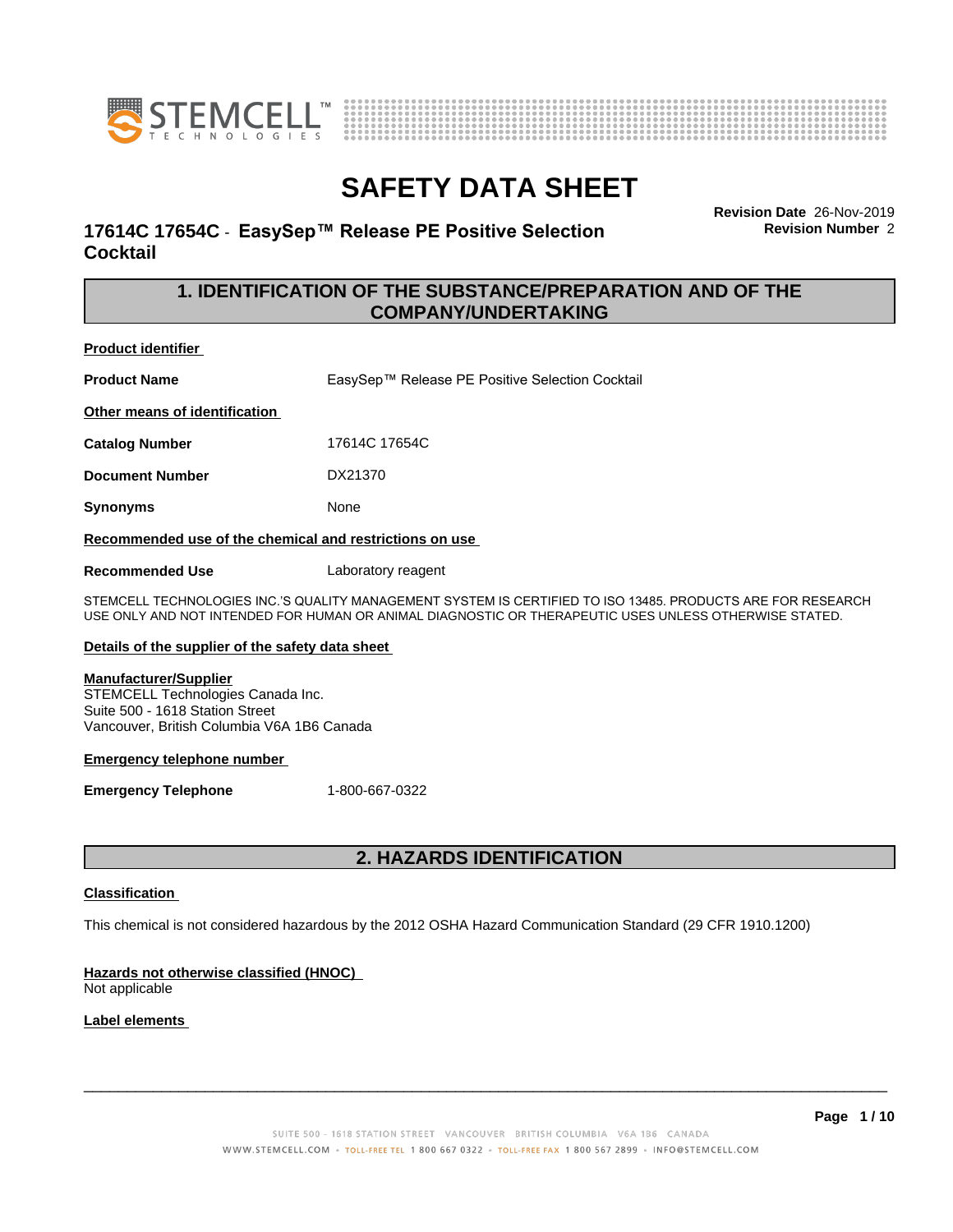



## **17614C 17654C - EasySep™ Release PE Positive Selection Cocktail**

**Revision Date** 26-Nov-2019 **Revision Number** 2

## **1. IDENTIFICATION OF THE SUBSTANCE/PREPARATION AND OF THE COMPANY/UNDERTAKING**

### **Product identifier**

**Product Name** EasySep™ Release PE Positive Selection Cocktail

**Other means of identification**

**Catalog Number** 17614C 17654C

**Document Number** DX21370

**Synonyms** None

**Recommended use of the chemical and restrictions on use**

**Recommended Use** Laboratory reagent

STEMCELL TECHNOLOGIES INC.'S QUALITY MANAGEMENT SYSTEM IS CERTIFIED TO ISO 13485. PRODUCTS ARE FOR RESEARCH USE ONLY AND NOT INTENDED FOR HUMAN OR ANIMAL DIAGNOSTIC OR THERAPEUTIC USES UNLESS OTHERWISE STATED.

### **Details of the supplier of the safety data sheet**

### **Manufacturer/Supplier**

STEMCELL Technologies Canada Inc. Suite 500 - 1618 Station Street Vancouver, British Columbia V6A 1B6 Canada

### **Emergency telephone number**

**Emergency Telephone** 1-800-667-0322

## **2. HAZARDS IDENTIFICATION**

### **Classification**

This chemical is not considered hazardous by the 2012 OSHA Hazard Communication Standard (29 CFR 1910.1200)

## **Hazards not otherwise classified (HNOC)**

Not applicable

## **Label elements**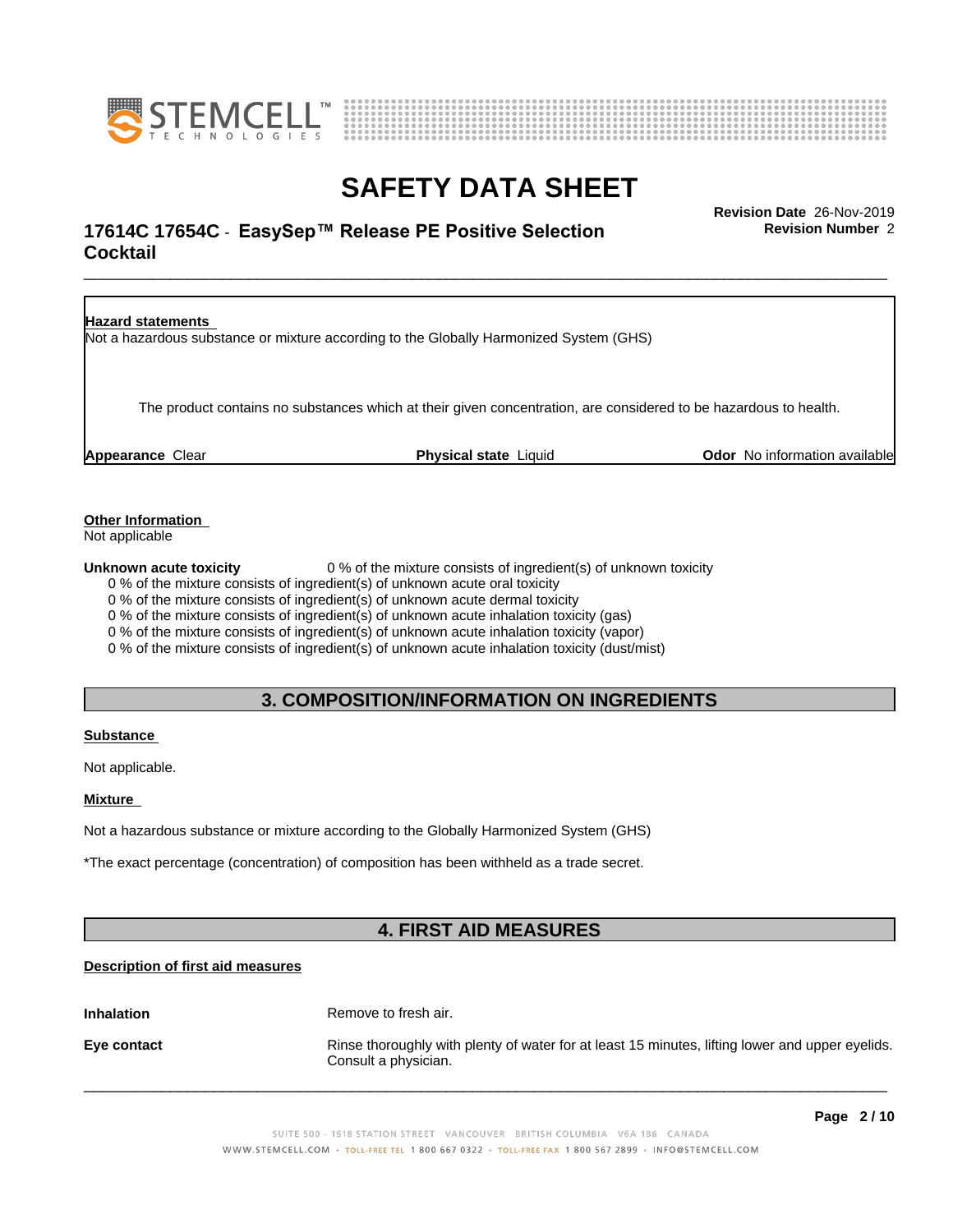



## \_\_\_\_\_\_\_\_\_\_\_\_\_\_\_\_\_\_\_\_\_\_\_\_\_\_\_\_\_\_\_\_\_\_\_\_\_\_\_\_\_\_\_\_\_\_\_\_\_\_\_\_\_\_\_\_\_\_\_\_\_\_\_\_\_\_\_\_\_\_\_\_\_\_\_\_\_\_\_\_\_\_\_\_\_\_\_\_\_\_\_\_\_ **Revision Date** 26-Nov-2019 **17614C 17654C - EasySep™ Release PE Positive Selection The Convertion Revision Number 2 Cocktail**

**Revision Number** 2



**Other Information**

Not applicable

**Unknown acute toxicity** 0 % of the mixture consists of ingredient(s) of unknown toxicity

0 % of the mixture consists of ingredient(s) of unknown acute oral toxicity

0 % of the mixture consists of ingredient(s) of unknown acute dermal toxicity

0 % of the mixture consists of ingredient(s) of unknown acute inhalation toxicity (gas)

0 % of the mixture consists of ingredient(s) of unknown acute inhalation toxicity (vapor)

0 % of the mixture consists of ingredient(s) of unknown acute inhalation toxicity (dust/mist)

## **3. COMPOSITION/INFORMATION ON INGREDIENTS**

## **Substance**

Not applicable.

### **Mixture**

Not a hazardous substance or mixture according to the Globally Harmonized System (GHS)

\*The exact percentage (concentration) of composition has been withheld as a trade secret.

## **4. FIRST AID MEASURES**

## **Description of first aid measures**

**Inhalation** Remove to fresh air.

**Eye contact Rinse thoroughly with plenty of water for at least 15 minutes, lifting lower and upper eyelids.** Consult a physician.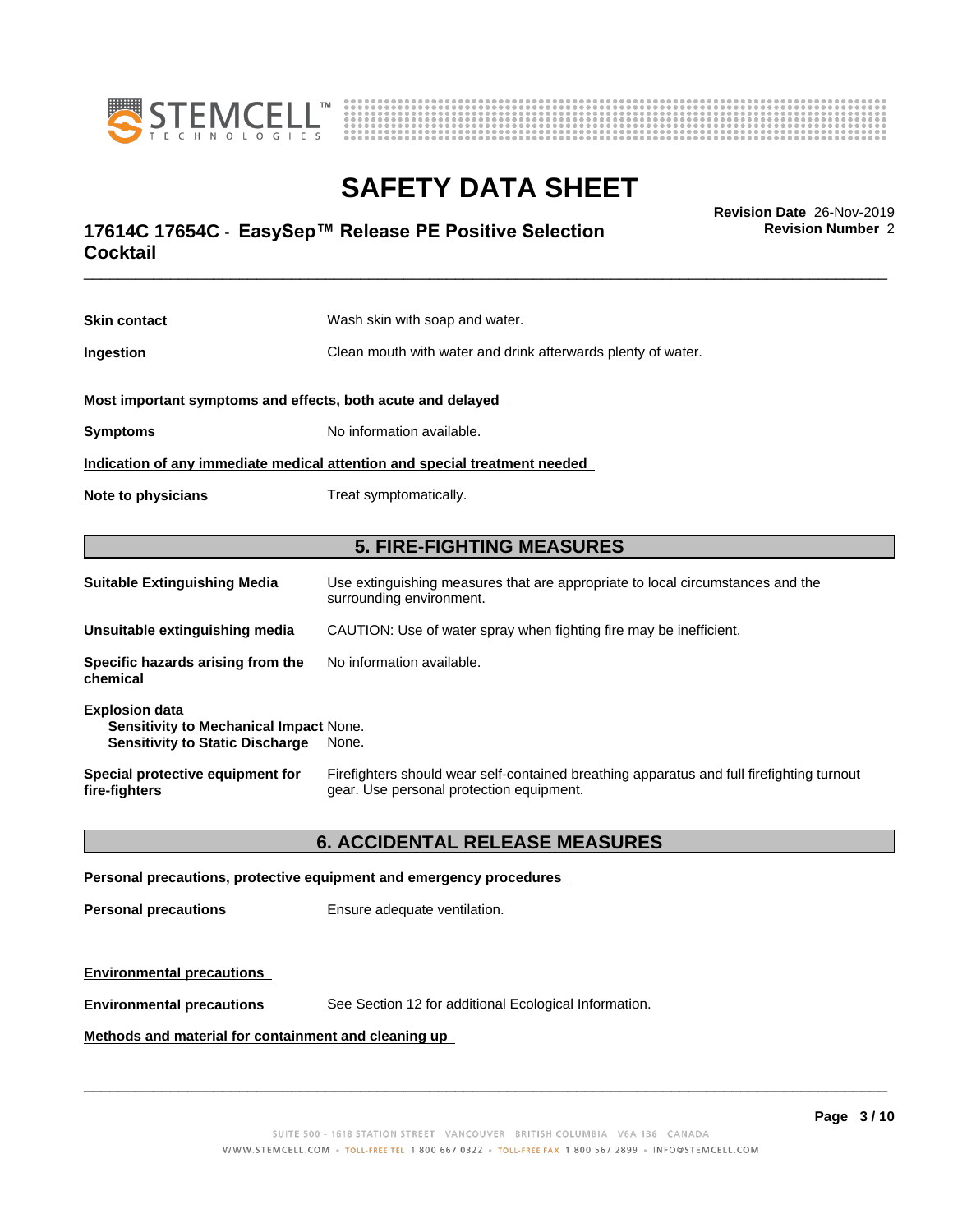



## \_\_\_\_\_\_\_\_\_\_\_\_\_\_\_\_\_\_\_\_\_\_\_\_\_\_\_\_\_\_\_\_\_\_\_\_\_\_\_\_\_\_\_\_\_\_\_\_\_\_\_\_\_\_\_\_\_\_\_\_\_\_\_\_\_\_\_\_\_\_\_\_\_\_\_\_\_\_\_\_\_\_\_\_\_\_\_\_\_\_\_\_\_ **Revision Date** 26-Nov-2019 **17614C 17654C - EasySep™ Release PE Positive Selection The Convertion Revision Number 2 Cocktail**

**Skin contact** Wash skin with soap and water. **Ingestion Clean mouth with water and drink afterwards plenty of water. Most important symptoms and effects, both acute and delayed Symptoms** No information available. **Indication of any immediate medical attention and special treatment needed Note to physicians** Treat symptomatically. **5. FIRE-FIGHTING MEASURES Suitable Extinguishing Media** Use extinguishing measures that are appropriate to local circumstances and the surrounding environment. **Unsuitable extinguishing media** CAUTION: Use of water spray when fighting fire may be inefficient. **Specific hazards arising from the chemical** No information available. **Explosion data**

| Special protective equipment for | Firefighters should wear self-contained breathing apparatus and full firefighting turnout |
|----------------------------------|-------------------------------------------------------------------------------------------|
| fire-fighters                    | gear. Use personal protection equipment.                                                  |

## **6. ACCIDENTAL RELEASE MEASURES**

### **Personal precautions, protective equipment and emergency procedures**

**Personal precautions** Ensure adequate ventilation.

**Sensitivity to Mechanical Impact** None. **Sensitivity to Static Discharge** None.

## **Environmental precautions**

**Environmental precautions** See Section 12 for additional Ecological Information.

### **Methods and material for containment and cleaning up**

 $\overline{\phantom{a}}$  ,  $\overline{\phantom{a}}$  ,  $\overline{\phantom{a}}$  ,  $\overline{\phantom{a}}$  ,  $\overline{\phantom{a}}$  ,  $\overline{\phantom{a}}$  ,  $\overline{\phantom{a}}$  ,  $\overline{\phantom{a}}$  ,  $\overline{\phantom{a}}$  ,  $\overline{\phantom{a}}$  ,  $\overline{\phantom{a}}$  ,  $\overline{\phantom{a}}$  ,  $\overline{\phantom{a}}$  ,  $\overline{\phantom{a}}$  ,  $\overline{\phantom{a}}$  ,  $\overline{\phantom{a}}$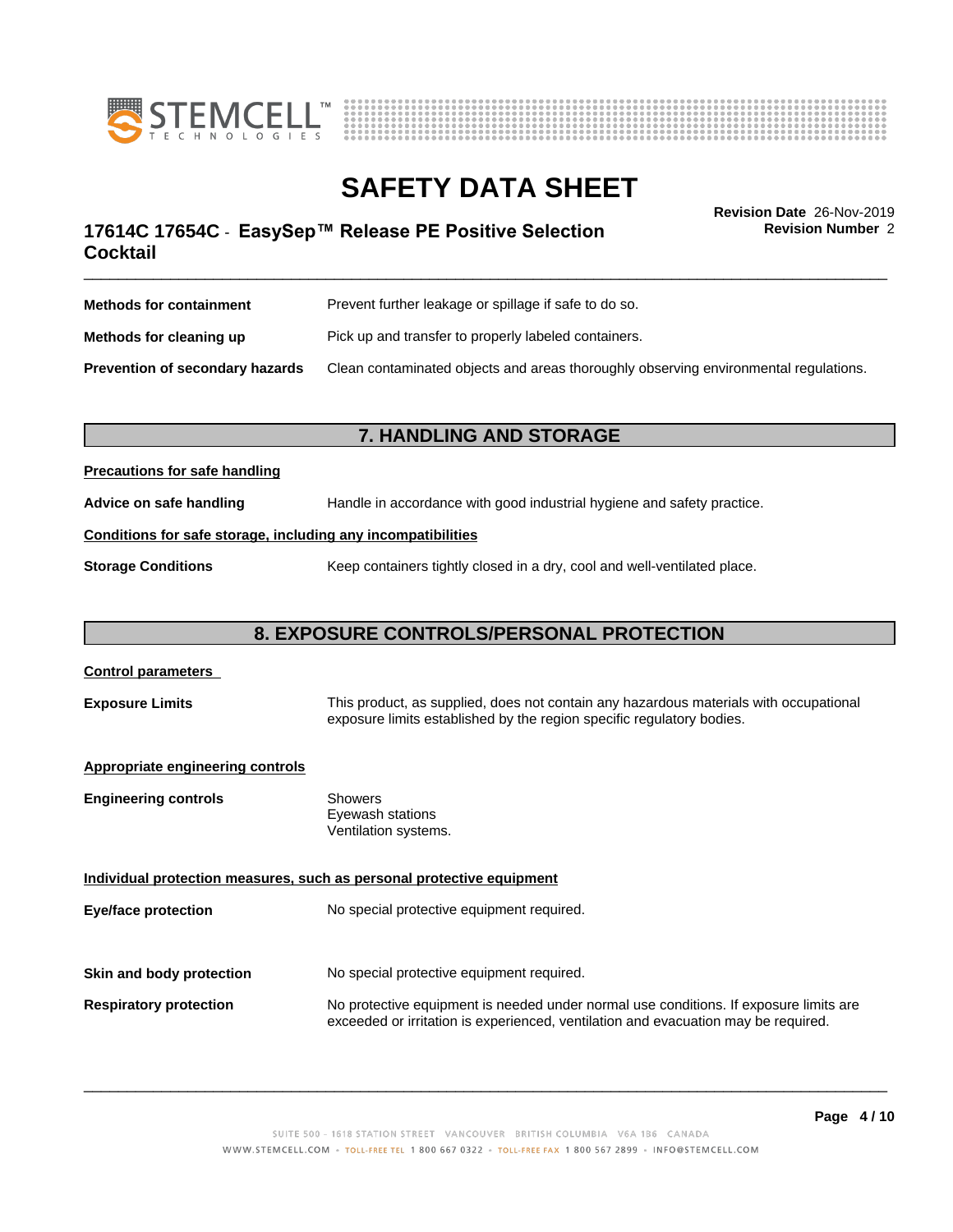



**Revision Number** 2

## \_\_\_\_\_\_\_\_\_\_\_\_\_\_\_\_\_\_\_\_\_\_\_\_\_\_\_\_\_\_\_\_\_\_\_\_\_\_\_\_\_\_\_\_\_\_\_\_\_\_\_\_\_\_\_\_\_\_\_\_\_\_\_\_\_\_\_\_\_\_\_\_\_\_\_\_\_\_\_\_\_\_\_\_\_\_\_\_\_\_\_\_\_ **Revision Date** 26-Nov-2019 **17614C 17654C - EasySep™ Release PE Positive Selection The Convertion Revision Number 2 Cocktail**

| <b>Methods for containment</b>         | Prevent further leakage or spillage if safe to do so.                                |  |
|----------------------------------------|--------------------------------------------------------------------------------------|--|
| Methods for cleaning up                | Pick up and transfer to properly labeled containers.                                 |  |
| <b>Prevention of secondary hazards</b> | Clean contaminated objects and areas thoroughly observing environmental regulations. |  |

## **7. HANDLING AND STORAGE**

### **Precautions for safe handling**

**Advice on safe handling** Handle in accordance with good industrial hygiene and safety practice.

### **Conditions for safe storage, including any incompatibilities**

**Storage Conditions** Keep containers tightly closed in a dry, cool and well-ventilated place.

## **8. EXPOSURE CONTROLS/PERSONAL PROTECTION**

# **Control parameters Exposure Limits** This product, as supplied, does not contain any hazardous materials with occupational exposure limits established by the region specific regulatory bodies. **Appropriate engineering controls Engineering controls** Showers Eyewash stations Ventilation systems. **Individual protection measures, such as personal protective equipment Eye/face protection** No special protective equipment required. **Skin and body protection** No special protective equipment required. **Respiratory protection** No protective equipment is needed under normal use conditions. If exposure limits are exceeded or irritation is experienced, ventilation and evacuation may be required.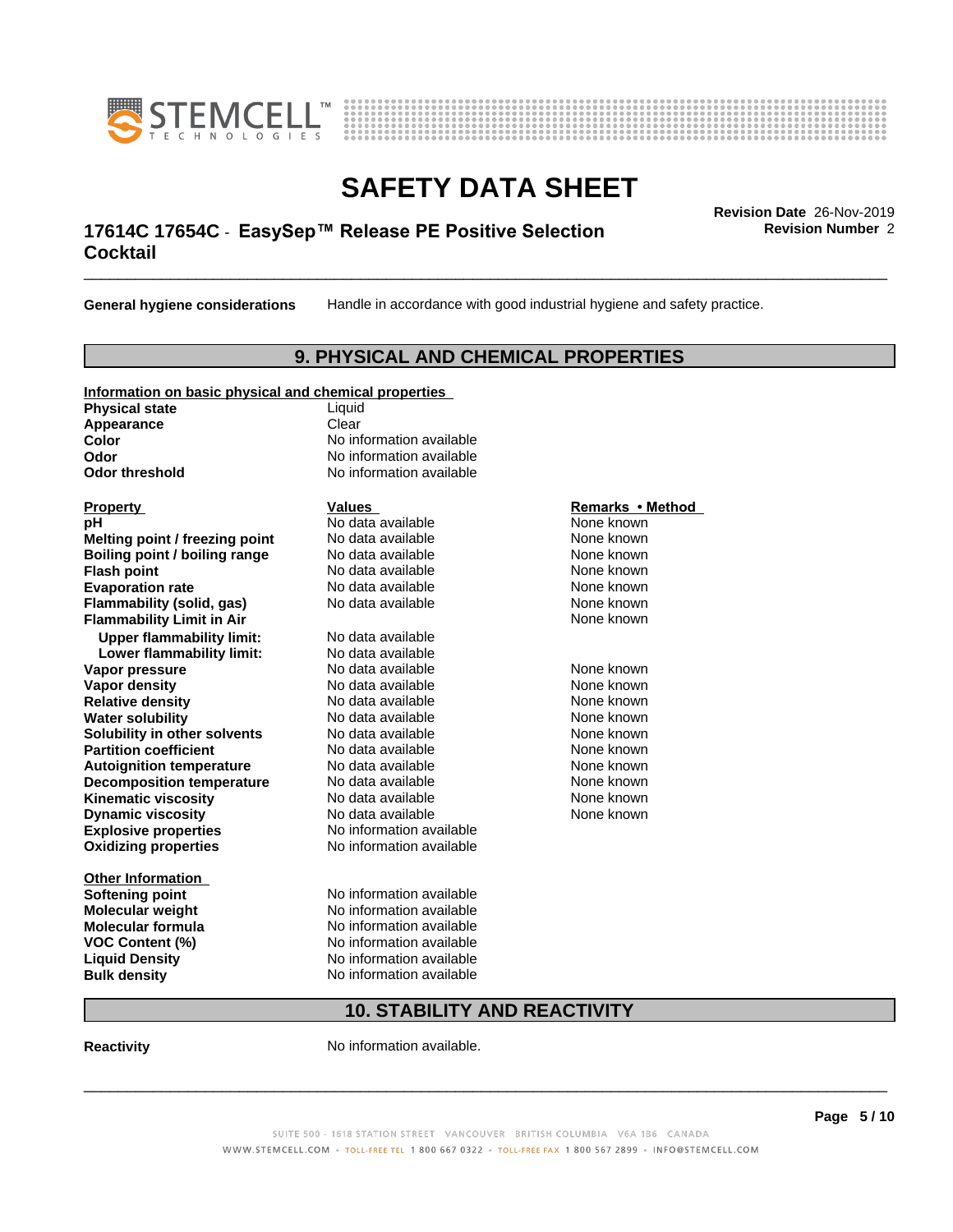



## \_\_\_\_\_\_\_\_\_\_\_\_\_\_\_\_\_\_\_\_\_\_\_\_\_\_\_\_\_\_\_\_\_\_\_\_\_\_\_\_\_\_\_\_\_\_\_\_\_\_\_\_\_\_\_\_\_\_\_\_\_\_\_\_\_\_\_\_\_\_\_\_\_\_\_\_\_\_\_\_\_\_\_\_\_\_\_\_\_\_\_\_\_ **Revision Date** 26-Nov-2019 **17614C 17654C - EasySep™ Release PE Positive Selection The Convertion Revision Number 2 Cocktail**

**General hygiene considerations** Handle in accordance with good industrial hygiene and safety practice.

## **9. PHYSICAL AND CHEMICAL PROPERTIES**

## **Information on basic physical and chemical properties**

**Physical state** Liquid **Appearance** Clear<br> **Color** No inf

**Explosive properties**<br> **Oxidizing properties**<br>
No information available **Oxidizing properties Property Remarks •Method Property Remarks •Method pH** No data available None known<br> **Melting point / freezing point** No data available None known **Melting point / freezing point** No data available None known<br> **Boiling point / boiling range** No data available None known **Boiling point / boiling range Flash point No data available None known Evaporation rate** *rate* No data available **None known Flammability (solid, gas)** No data available None known **Flammability Limit in Air None known None known Upper flammability limit:** No data available **Lower flammability limit:** No data available **Vapor pressure No data available None known Vapor density Notata available None known Relative density No data available None known**<br> **Water solubility No data available None known**<br>
No data available **Water solubility Solubility in other solvents** No data available **None known**<br> **Partition coefficient** No data available **None known**<br>
None known **Partition coefficient**<br> **Autoignition temperature**<br>
No data available **Autoignition temperature No data available None known**<br> **Decomposition temperature** No data available **None known**<br>
None known **Decomposition temperature** No data available<br> **Kinematic viscosity** No data available **Kinematic viscosity No data available None known**<br> **Notata available None known**<br>
Notata available **None known Dynamic viscosity No data available None known** 

**Other Information Softening point** No information available **VOC** Content (%)

**No information available Odor** No information available **Odor threshold** No information available

**Molecular weight** No information available **Molecular formula No information available**<br>**VOC Content (%)** No information available **Liquid Density** No information available **Bulk density** No information available

## **10. STABILITY AND REACTIVITY**

**Reactivity No information available.** 

SUITE 500 - 1618 STATION STREET VANCOUVER BRITISH COLUMBIA V6A 1B6 CANADA WWW.STEMCELL.COM · TOLL-FREE TEL 1 800 667 0322 · TOLL-FREE FAX 1 800 567 2899 · INFO@STEMCELL.COM

 $\overline{\phantom{a}}$  ,  $\overline{\phantom{a}}$  ,  $\overline{\phantom{a}}$  ,  $\overline{\phantom{a}}$  ,  $\overline{\phantom{a}}$  ,  $\overline{\phantom{a}}$  ,  $\overline{\phantom{a}}$  ,  $\overline{\phantom{a}}$  ,  $\overline{\phantom{a}}$  ,  $\overline{\phantom{a}}$  ,  $\overline{\phantom{a}}$  ,  $\overline{\phantom{a}}$  ,  $\overline{\phantom{a}}$  ,  $\overline{\phantom{a}}$  ,  $\overline{\phantom{a}}$  ,  $\overline{\phantom{a}}$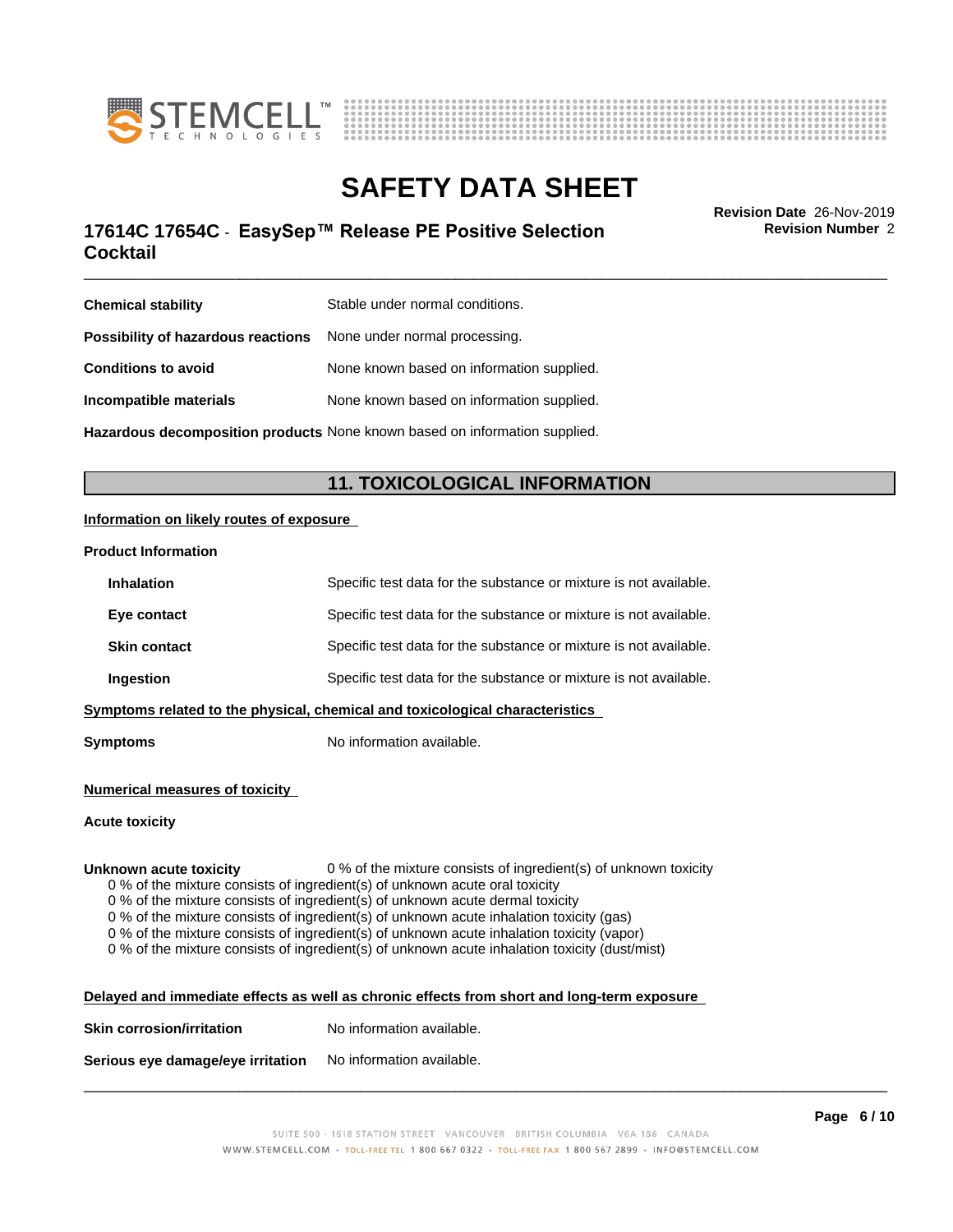



## \_\_\_\_\_\_\_\_\_\_\_\_\_\_\_\_\_\_\_\_\_\_\_\_\_\_\_\_\_\_\_\_\_\_\_\_\_\_\_\_\_\_\_\_\_\_\_\_\_\_\_\_\_\_\_\_\_\_\_\_\_\_\_\_\_\_\_\_\_\_\_\_\_\_\_\_\_\_\_\_\_\_\_\_\_\_\_\_\_\_\_\_\_ **Revision Date** 26-Nov-2019 **17614C 17654C - EasySep™ Release PE Positive Selection The Convertion Revision Number 2 Cocktail**

**Revision Number** 2

| <b>Chemical stability</b>                                        | Stable under normal conditions.                                            |
|------------------------------------------------------------------|----------------------------------------------------------------------------|
| Possibility of hazardous reactions None under normal processing. |                                                                            |
| <b>Conditions to avoid</b>                                       | None known based on information supplied.                                  |
| Incompatible materials                                           | None known based on information supplied.                                  |
|                                                                  | Hazardous decomposition products None known based on information supplied. |

## **11. TOXICOLOGICAL INFORMATION**

### **Information on likely routes of exposure**

### **Product Information**

| <b>Inhalation</b>   | Specific test data for the substance or mixture is not available.            |
|---------------------|------------------------------------------------------------------------------|
| Eye contact         | Specific test data for the substance or mixture is not available.            |
| <b>Skin contact</b> | Specific test data for the substance or mixture is not available.            |
| Ingestion           | Specific test data for the substance or mixture is not available.            |
|                     | Symptoms related to the physical, chemical and toxicological characteristics |

**Symptoms** No information available.

### **Numerical measures of toxicity**

### **Acute toxicity**

**Unknown acute toxicity** 0 % of the mixture consists of ingredient(s) of unknown toxicity

0 % of the mixture consists of ingredient(s) of unknown acute oral toxicity

0 % of the mixture consists of ingredient(s) of unknown acute dermal toxicity

0 % of the mixture consists of ingredient(s) of unknown acute inhalation toxicity (gas)

0 % of the mixture consists of ingredient(s) of unknown acute inhalation toxicity (vapor)

0 % of the mixture consists of ingredient(s) of unknown acute inhalation toxicity (dust/mist)

| Delayed and immediate effects as well as chronic effects from short and long-term exposure |  |
|--------------------------------------------------------------------------------------------|--|
|                                                                                            |  |

| <b>Skin corrosion/irritation</b> | No information available. |
|----------------------------------|---------------------------|
|                                  |                           |

**Serious eye damage/eye irritation** No information available.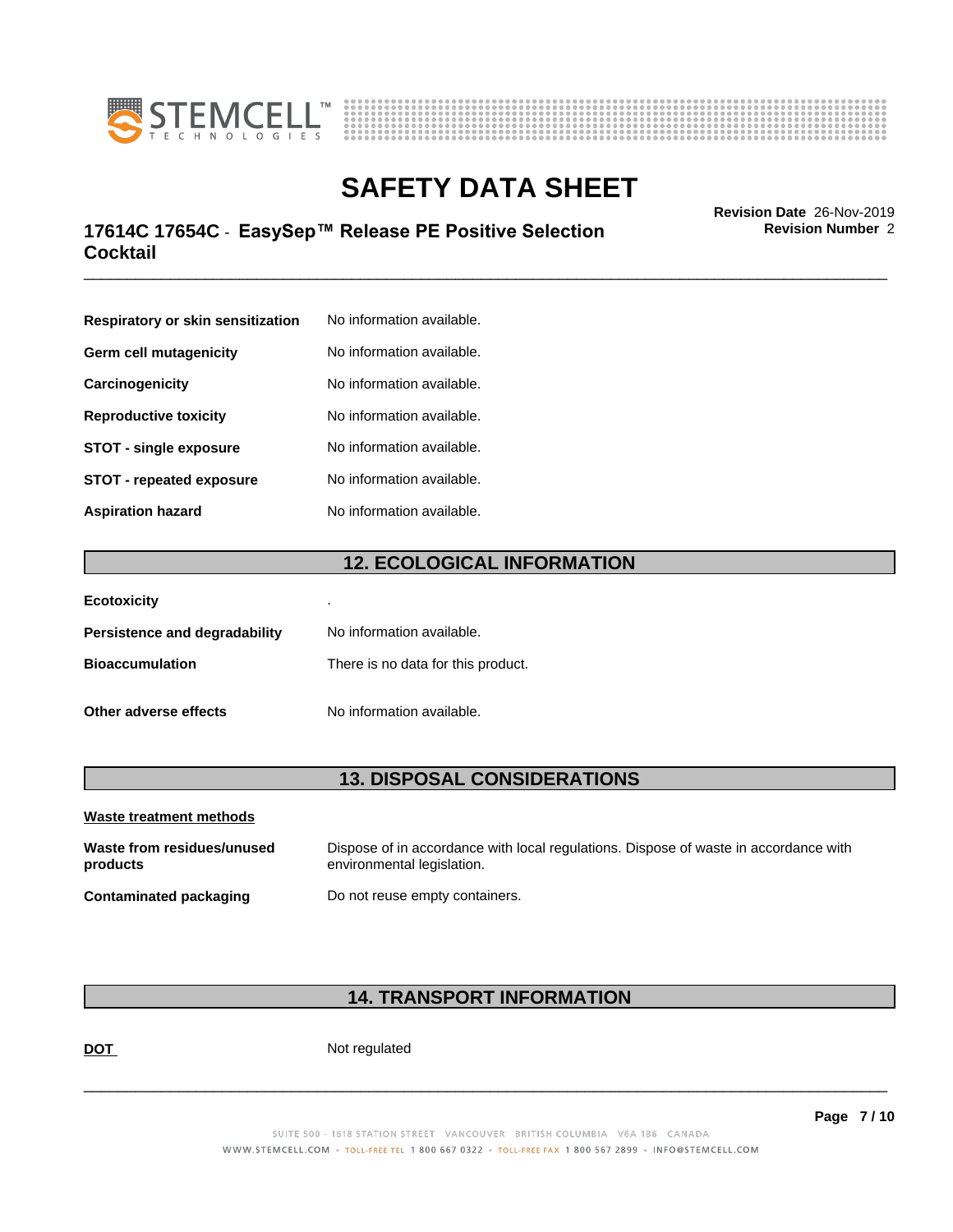



## \_\_\_\_\_\_\_\_\_\_\_\_\_\_\_\_\_\_\_\_\_\_\_\_\_\_\_\_\_\_\_\_\_\_\_\_\_\_\_\_\_\_\_\_\_\_\_\_\_\_\_\_\_\_\_\_\_\_\_\_\_\_\_\_\_\_\_\_\_\_\_\_\_\_\_\_\_\_\_\_\_\_\_\_\_\_\_\_\_\_\_\_\_ **Revision Date** 26-Nov-2019 **17614C 17654C - EasySep™ Release PE Positive Selection The Convertion Revision Number 2 Cocktail**

**Respiratory or skin sensitization** No information available. **Germ cell mutagenicity** No information available. **Carcinogenicity** No information available. **Reproductive toxicity** No information available. **STOT** - **single exposure** No information available. **STOT** - **repeated exposure** No information available. **Aspiration hazard** No information available.

## **12. ECOLOGICAL INFORMATION**

| <b>Ecotoxicity</b>                   | ٠                                  |
|--------------------------------------|------------------------------------|
| <b>Persistence and degradability</b> | No information available.          |
| <b>Bioaccumulation</b>               | There is no data for this product. |
| Other adverse effects                | No information available.          |

## **13. DISPOSAL CONSIDERATIONS**

| Waste treatment methods                |                                                                                                                    |
|----------------------------------------|--------------------------------------------------------------------------------------------------------------------|
| Waste from residues/unused<br>products | Dispose of in accordance with local regulations. Dispose of waste in accordance with<br>environmental legislation. |
| Contaminated packaging                 | Do not reuse empty containers.                                                                                     |

## **14. TRANSPORT INFORMATION**

**DOT** Not regulated

 $\overline{\phantom{a}}$  ,  $\overline{\phantom{a}}$  ,  $\overline{\phantom{a}}$  ,  $\overline{\phantom{a}}$  ,  $\overline{\phantom{a}}$  ,  $\overline{\phantom{a}}$  ,  $\overline{\phantom{a}}$  ,  $\overline{\phantom{a}}$  ,  $\overline{\phantom{a}}$  ,  $\overline{\phantom{a}}$  ,  $\overline{\phantom{a}}$  ,  $\overline{\phantom{a}}$  ,  $\overline{\phantom{a}}$  ,  $\overline{\phantom{a}}$  ,  $\overline{\phantom{a}}$  ,  $\overline{\phantom{a}}$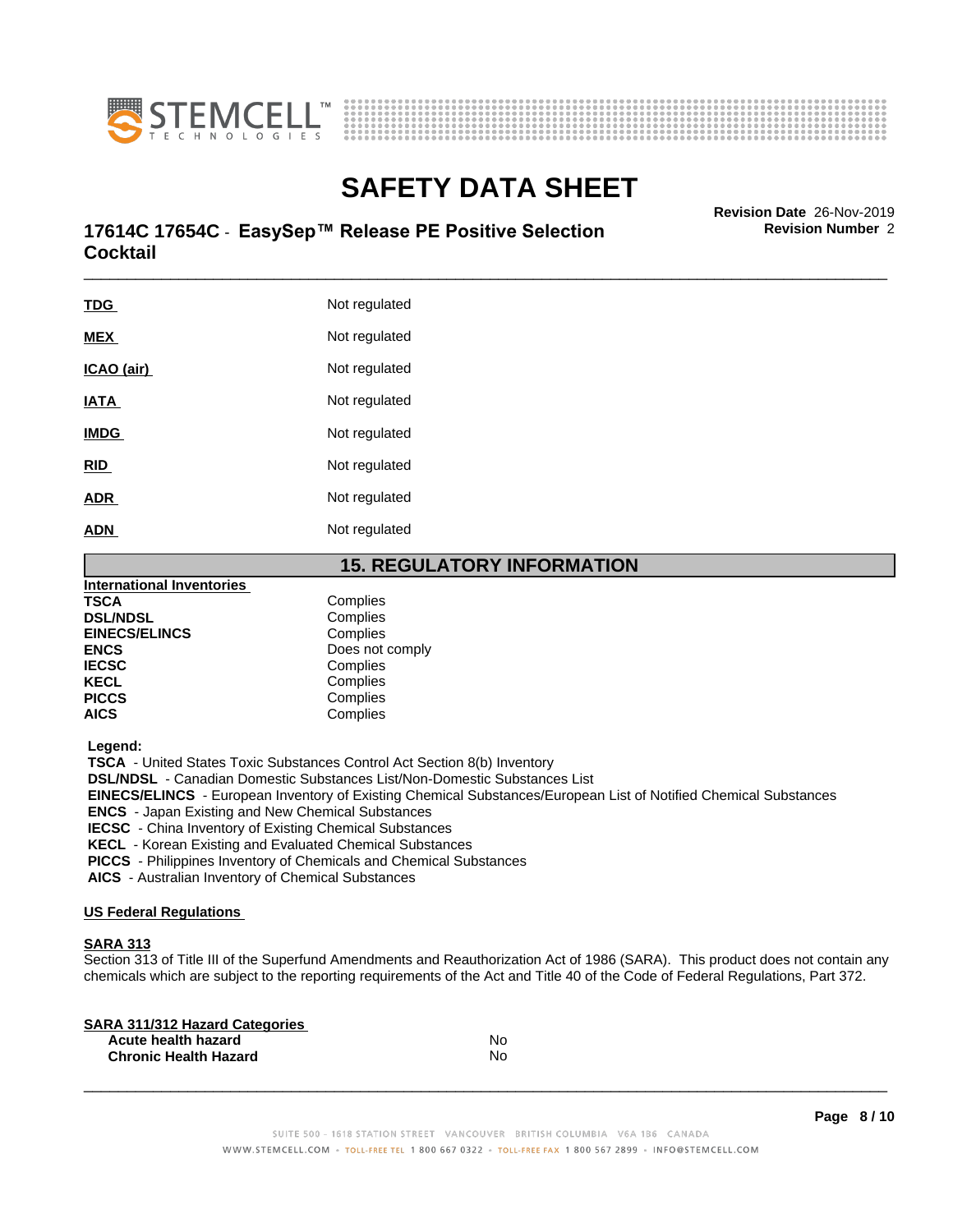



## \_\_\_\_\_\_\_\_\_\_\_\_\_\_\_\_\_\_\_\_\_\_\_\_\_\_\_\_\_\_\_\_\_\_\_\_\_\_\_\_\_\_\_\_\_\_\_\_\_\_\_\_\_\_\_\_\_\_\_\_\_\_\_\_\_\_\_\_\_\_\_\_\_\_\_\_\_\_\_\_\_\_\_\_\_\_\_\_\_\_\_\_\_ **Revision Date** 26-Nov-2019 **17614C 17654C - EasySep™ Release PE Positive Selection The Convertion Revision Number 2 Cocktail**

| <b>TDG</b>  | Not regulated |
|-------------|---------------|
| <b>MEX</b>  | Not regulated |
| ICAO (air)  | Not regulated |
| <b>IATA</b> | Not regulated |
| <b>IMDG</b> | Not regulated |
| RID         | Not regulated |
| <u>ADR</u>  | Not regulated |
| <b>ADN</b>  | Not regulated |
|             |               |

## **15. REGULATORY INFORMATION**

| <b>International Inventories</b> |                 |  |
|----------------------------------|-----------------|--|
| <b>TSCA</b>                      | Complies        |  |
| <b>DSL/NDSL</b>                  | Complies        |  |
| <b>EINECS/ELINCS</b>             | Complies        |  |
| <b>ENCS</b>                      | Does not comply |  |
| <b>IECSC</b>                     | Complies        |  |
| <b>KECL</b>                      | Complies        |  |
| <b>PICCS</b>                     | Complies        |  |
| <b>AICS</b>                      | Complies        |  |
|                                  |                 |  |

 **Legend:**

 **TSCA** - United States Toxic Substances Control Act Section 8(b) Inventory

 **DSL/NDSL** - Canadian Domestic Substances List/Non-Domestic Substances List

 **EINECS/ELINCS** - European Inventory of Existing Chemical Substances/European List of Notified Chemical Substances

 **ENCS** - Japan Existing and New Chemical Substances

 **IECSC** - China Inventory of Existing Chemical Substances

 **KECL** - Korean Existing and Evaluated Chemical Substances

 **PICCS** - Philippines Inventory of Chemicals and Chemical Substances

 **AICS** - Australian Inventory of Chemical Substances

### **US Federal Regulations**

## **SARA 313**

Section 313 of Title III of the Superfund Amendments and Reauthorization Act of 1986 (SARA). This product does not contain any chemicals which are subject to the reporting requirements of the Act and Title 40 of the Code of Federal Regulations, Part 372.

| N٥ |  |
|----|--|
| N٥ |  |
|    |  |

 $\overline{\phantom{a}}$  ,  $\overline{\phantom{a}}$  ,  $\overline{\phantom{a}}$  ,  $\overline{\phantom{a}}$  ,  $\overline{\phantom{a}}$  ,  $\overline{\phantom{a}}$  ,  $\overline{\phantom{a}}$  ,  $\overline{\phantom{a}}$  ,  $\overline{\phantom{a}}$  ,  $\overline{\phantom{a}}$  ,  $\overline{\phantom{a}}$  ,  $\overline{\phantom{a}}$  ,  $\overline{\phantom{a}}$  ,  $\overline{\phantom{a}}$  ,  $\overline{\phantom{a}}$  ,  $\overline{\phantom{a}}$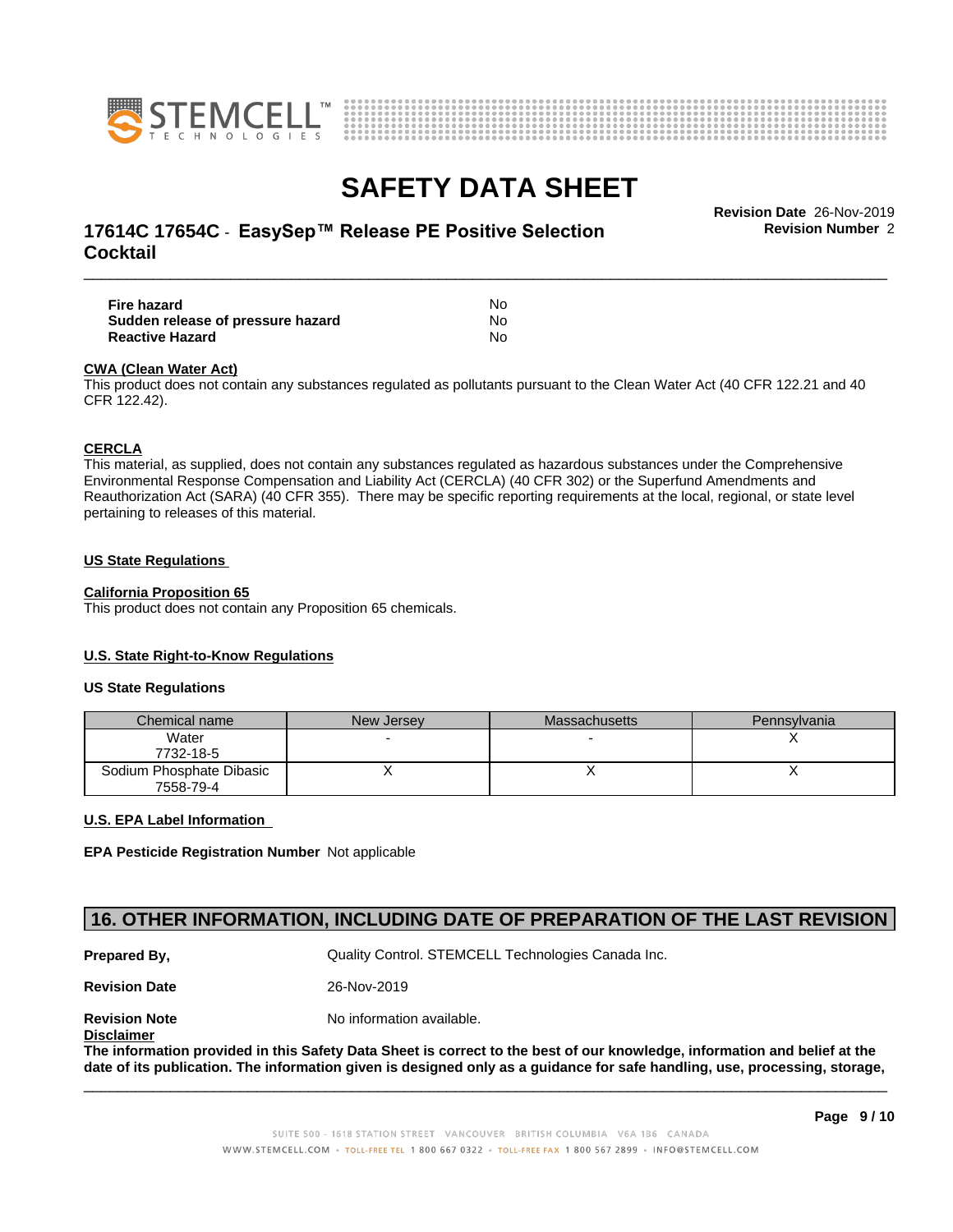



## \_\_\_\_\_\_\_\_\_\_\_\_\_\_\_\_\_\_\_\_\_\_\_\_\_\_\_\_\_\_\_\_\_\_\_\_\_\_\_\_\_\_\_\_\_\_\_\_\_\_\_\_\_\_\_\_\_\_\_\_\_\_\_\_\_\_\_\_\_\_\_\_\_\_\_\_\_\_\_\_\_\_\_\_\_\_\_\_\_\_\_\_\_ **Revision Date** 26-Nov-2019 **17614C 17654C - EasySep™ Release PE Positive Selection The Convertion Revision Number 2 Cocktail**

**Fire hazard** No **Sudden release of pressure hazard** No **Reactive Hazard** No

### **CWA** (Clean Water Act)

This product does not contain any substances regulated as pollutants pursuant to the Clean Water Act (40 CFR 122.21 and 40 CFR 122.42).

### **CERCLA**

This material, as supplied, does not contain any substances regulated as hazardous substances under the Comprehensive Environmental Response Compensation and Liability Act (CERCLA) (40 CFR 302) or the Superfund Amendments and Reauthorization Act (SARA) (40 CFR 355). There may be specific reporting requirements at the local, regional, or state level pertaining to releases of this material.

### **US State Regulations**

### **California Proposition 65**

This product does not contain any Proposition 65 chemicals.

### **U.S. State Right-to-Know Regulations**

### **US State Regulations**

| Chemical name            | New Jersey | Massachusetts | <b>Pennsylvania</b> |
|--------------------------|------------|---------------|---------------------|
| Water                    |            |               |                     |
| 7732-18-5                |            |               |                     |
| Sodium Phosphate Dibasic |            |               |                     |
| 7558-79-4                |            |               |                     |

### **U.S. EPA Label Information**

**EPA Pesticide Registration Number** Notapplicable

## **16. OTHER INFORMATION, INCLUDING DATE OF PREPARATION OF THE LAST REVISION**

**Prepared By, State Control. STEMCELL Technologies Canada Inc.** Cuality Control. STEMCELL Technologies Canada Inc.

**Revision Date** 26-Nov-2019

**Revision Note** Noinformation available.

**Disclaimer**

The information provided in this Safety Data Sheet is correct to the best of our knowledge, information and belief at the date of its publication. The information given is designed only as a guidance for safe handling, use, processing, storage,

 $\overline{\phantom{a}}$  ,  $\overline{\phantom{a}}$  ,  $\overline{\phantom{a}}$  ,  $\overline{\phantom{a}}$  ,  $\overline{\phantom{a}}$  ,  $\overline{\phantom{a}}$  ,  $\overline{\phantom{a}}$  ,  $\overline{\phantom{a}}$  ,  $\overline{\phantom{a}}$  ,  $\overline{\phantom{a}}$  ,  $\overline{\phantom{a}}$  ,  $\overline{\phantom{a}}$  ,  $\overline{\phantom{a}}$  ,  $\overline{\phantom{a}}$  ,  $\overline{\phantom{a}}$  ,  $\overline{\phantom{a}}$